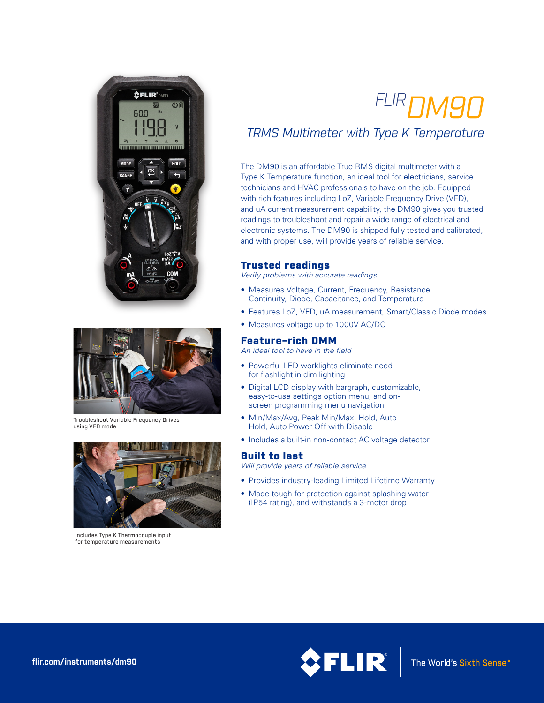



Troubleshoot Variable Frequency Drives using VFD mode



Includes Type K Thermocouple input for temperature measurements

# *FLIRDM90*

## *TRMS Multimeter with Type K Temperature*

The DM90 is an affordable True RMS digital multimeter with a Type K Temperature function, an ideal tool for electricians, service technicians and HVAC professionals to have on the job. Equipped with rich features including LoZ, Variable Frequency Drive (VFD), and uA current measurement capability, the DM90 gives you trusted readings to troubleshoot and repair a wide range of electrical and electronic systems. The DM90 is shipped fully tested and calibrated, and with proper use, will provide years of reliable service.

#### Trusted readings

*Verify problems with accurate readings*

- Measures Voltage, Current, Frequency, Resistance, Continuity, Diode, Capacitance, and Temperature
- Features LoZ, VFD, uA measurement, Smart/Classic Diode modes
- Measures voltage up to 1000V AC/DC

#### Feature-rich DMM

*An ideal tool to have in the field*

- Powerful LED worklights eliminate need for flashlight in dim lighting
- Digital LCD display with bargraph, customizable, easy-to-use settings option menu, and onscreen programming menu navigation
- Min/Max/Avg, Peak Min/Max, Hold, Auto Hold, Auto Power Off with Disable
- Includes a built-in non-contact AC voltage detector

#### Built to last

*Will provide years of reliable service*

- Provides industry-leading Limited Lifetime Warranty
- Made tough for protection against splashing water (IP54 rating), and withstands a 3-meter drop